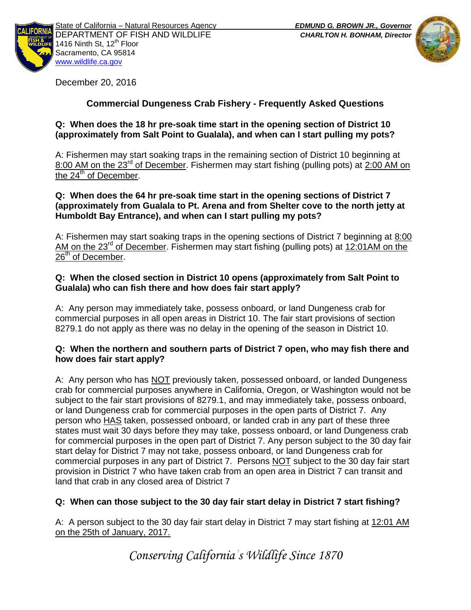



December 20, 2016

# **Commercial Dungeness Crab Fishery - Frequently Asked Questions**

### **Q: When does the 18 hr pre-soak time start in the opening section of District 10 (approximately from Salt Point to Gualala), and when can I start pulling my pots?**

A: Fishermen may start soaking traps in the remaining section of District 10 beginning at 8:00 AM on the 23<sup>rd</sup> of December. Fishermen may start fishing (pulling pots) at 2:00 AM on the 24<sup>th</sup> of December.

#### **Q: When does the 64 hr pre-soak time start in the opening sections of District 7 (approximately from Gualala to Pt. Arena and from Shelter cove to the north jetty at Humboldt Bay Entrance), and when can I start pulling my pots?**

A: Fishermen may start soaking traps in the opening sections of District 7 beginning at 8:00 AM on the  $23^{rd}$  of December. Fishermen may start fishing (pulling pots) at 12:01AM on the  $26<sup>th</sup>$  of December.

## **Q: When the closed section in District 10 opens (approximately from Salt Point to Gualala) who can fish there and how does fair start apply?**

A: Any person may immediately take, possess onboard, or land Dungeness crab for commercial purposes in all open areas in District 10. The fair start provisions of section 8279.1 do not apply as there was no delay in the opening of the season in District 10.

### **Q: When the northern and southern parts of District 7 open, who may fish there and how does fair start apply?**

A: Any person who has NOT previously taken, possessed onboard, or landed Dungeness crab for commercial purposes anywhere in California, Oregon, or Washington would not be subject to the fair start provisions of 8279.1, and may immediately take, possess onboard, or land Dungeness crab for commercial purposes in the open parts of District 7. Any person who HAS taken, possessed onboard, or landed crab in any part of these three states must wait 30 days before they may take, possess onboard, or land Dungeness crab for commercial purposes in the open part of District 7. Any person subject to the 30 day fair start delay for District 7 may not take, possess onboard, or land Dungeness crab for commercial purposes in any part of District 7. Persons NOT subject to the 30 day fair start provision in District 7 who have taken crab from an open area in District 7 can transit and land that crab in any closed area of District 7

## **Q: When can those subject to the 30 day fair start delay in District 7 start fishing?**

A: A person subject to the 30 day fair start delay in District 7 may start fishing at 12:01 AM on the 25th of January, 2017.

*Conserving California's Wildlife Since 1870*